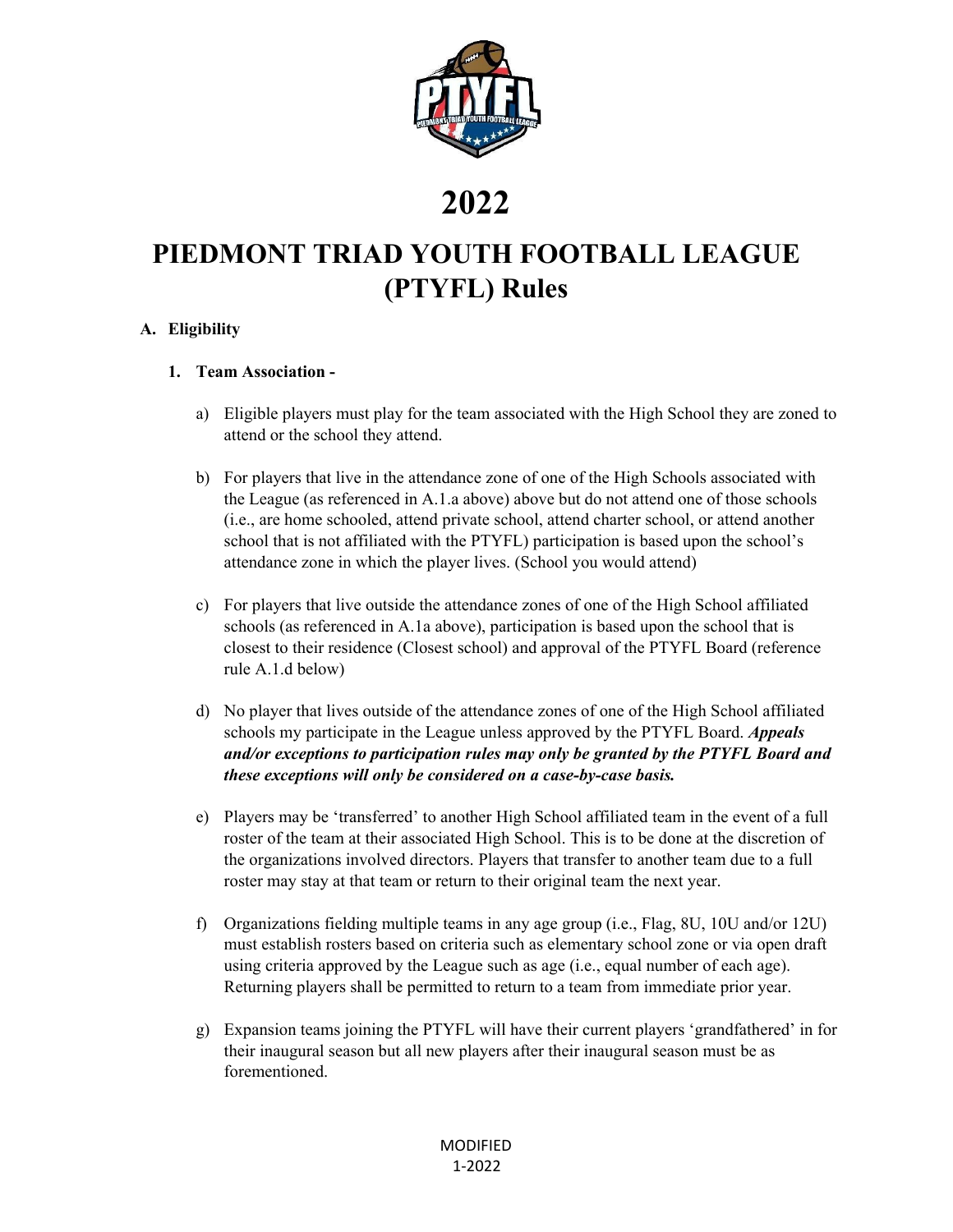

## **2022**

## **PIEDMONT TRIAD YOUTH FOOTBALL LEAGUE (PTYFL) Rules**

## **A. Eligibility**

### **1. Team Association -**

- a) Eligible players must play for the team associated with the High School they are zoned to attend or the school they attend.
- b) For players that live in the attendance zone of one of the High Schools associated with the League (as referenced in A.1.a above) above but do not attend one of those schools (i.e., are home schooled, attend private school, attend charter school, or attend another school that is not affiliated with the PTYFL) participation is based upon the school's attendance zone in which the player lives. (School you would attend)
- c) For players that live outside the attendance zones of one of the High School affiliated schools (as referenced in A.1a above), participation is based upon the school that is closest to their residence (Closest school) and approval of the PTYFL Board (reference rule A.1.d below)
- d) No player that lives outside of the attendance zones of one of the High School affiliated schools my participate in the League unless approved by the PTYFL Board. *Appeals and/or exceptions to participation rules may only be granted by the PTYFL Board and these exceptions will only be considered on a case-by-case basis.*
- e) Players may be 'transferred' to another High School affiliated team in the event of a full roster of the team at their associated High School. This is to be done at the discretion of the organizations involved directors. Players that transfer to another team due to a full roster may stay at that team or return to their original team the next year.
- f) Organizations fielding multiple teams in any age group (i.e., Flag, 8U, 10U and/or 12U) must establish rosters based on criteria such as elementary school zone or via open draft using criteria approved by the League such as age (i.e., equal number of each age). Returning players shall be permitted to return to a team from immediate prior year.
- g) Expansion teams joining the PTYFL will have their current players 'grandfathered' in for their inaugural season but all new players after their inaugural season must be as forementioned.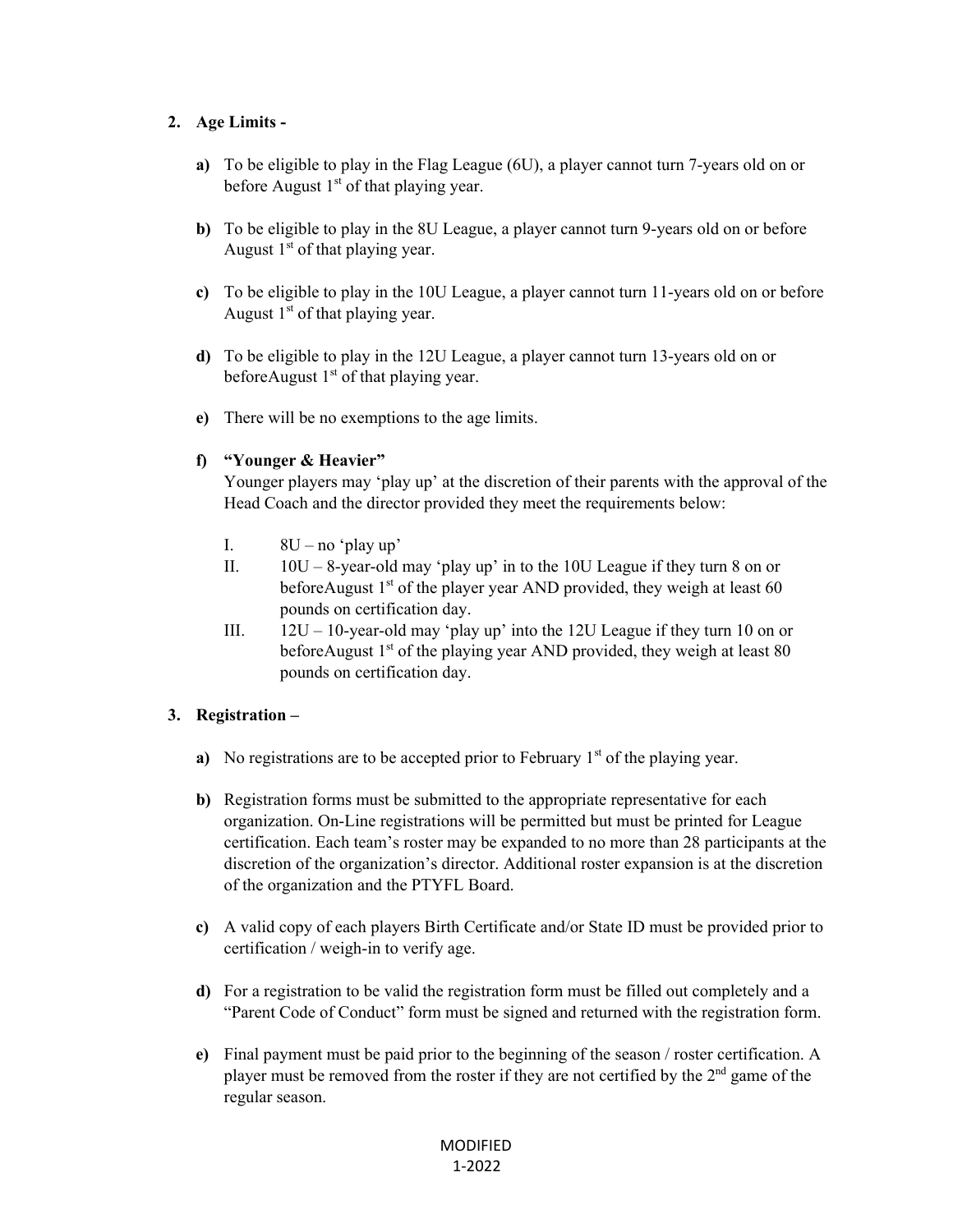## **2. Age Limits -**

- **a)** To be eligible to play in the Flag League (6U), a player cannot turn 7-years old on or before August  $1<sup>st</sup>$  of that playing year.
- **b)** To be eligible to play in the 8U League, a player cannot turn 9-years old on or before August  $1<sup>st</sup>$  of that playing year.
- **c)** To be eligible to play in the 10U League, a player cannot turn 11-years old on or before August  $1<sup>st</sup>$  of that playing year.
- **d)** To be eligible to play in the 12U League, a player cannot turn 13-years old on or before August  $1<sup>st</sup>$  of that playing year.
- **e)** There will be no exemptions to the age limits.

## **f) "Younger & Heavier"**

Younger players may 'play up' at the discretion of their parents with the approval of the Head Coach and the director provided they meet the requirements below:

- I.  $8U no$  'play up'
- II.  $10U 8$ -year-old may 'play up' in to the 10U League if they turn 8 on or before August  $1<sup>st</sup>$  of the player year AND provided, they weigh at least 60 pounds on certification day.
- III.  $12U 10$ -year-old may 'play up' into the 12U League if they turn 10 on or before August  $1<sup>st</sup>$  of the playing year AND provided, they weigh at least 80 pounds on certification day.

## **3. Registration –**

- **a)** No registrations are to be accepted prior to February 1<sup>st</sup> of the playing year.
- **b)** Registration forms must be submitted to the appropriate representative for each organization. On-Line registrations will be permitted but must be printed for League certification. Each team's roster may be expanded to no more than 28 participants at the discretion of the organization's director. Additional roster expansion is at the discretion of the organization and the PTYFL Board.
- **c)** A valid copy of each players Birth Certificate and/or State ID must be provided prior to certification / weigh-in to verify age.
- **d)** For a registration to be valid the registration form must be filled out completely and a "Parent Code of Conduct" form must be signed and returned with the registration form.
- **e)** Final payment must be paid prior to the beginning of the season / roster certification. A player must be removed from the roster if they are not certified by the  $2<sup>nd</sup>$  game of the regular season.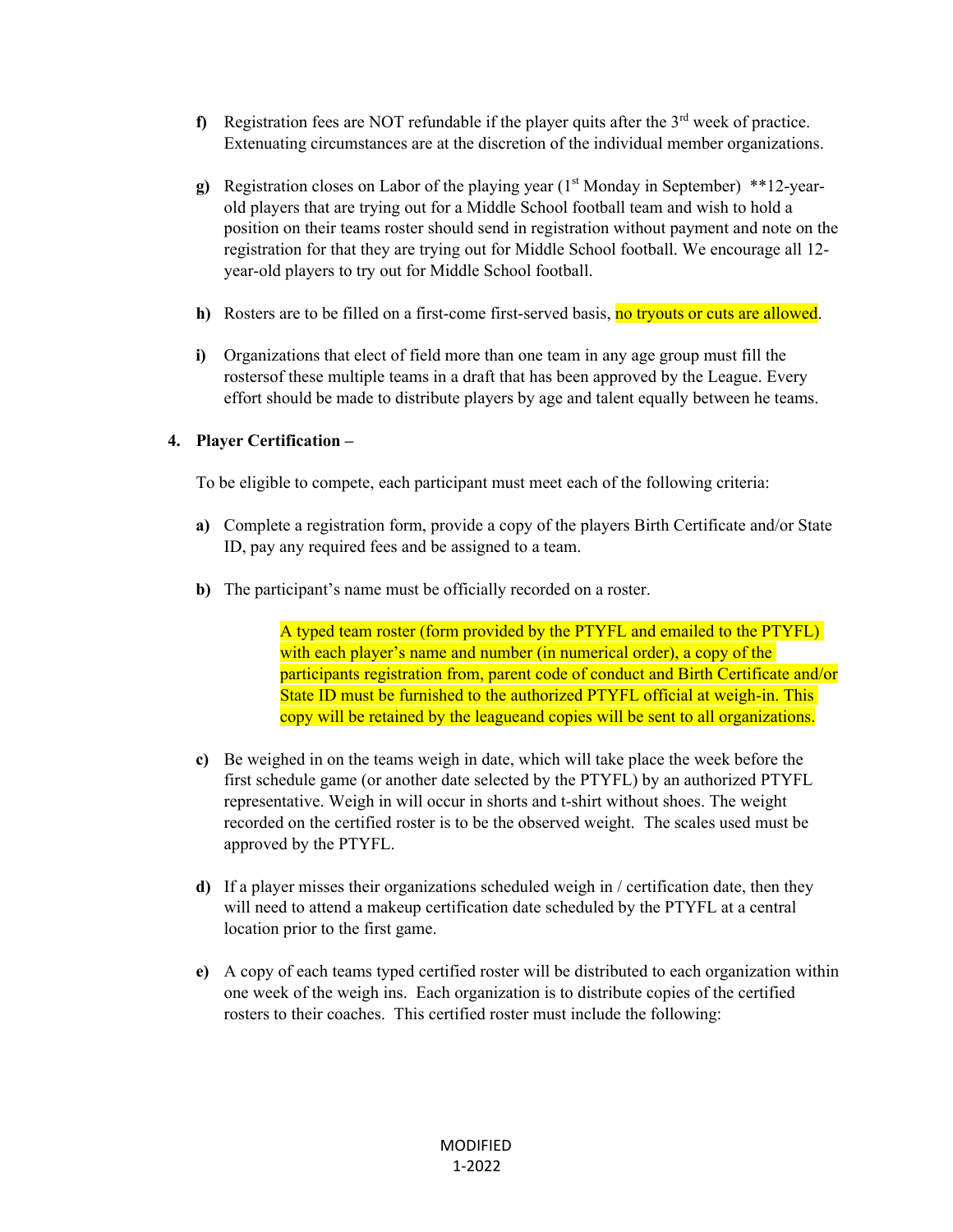- **f)** Registration fees are NOT refundable if the player quits after the  $3<sup>rd</sup>$  week of practice. Extenuating circumstances are at the discretion of the individual member organizations.
- **g**) Registration closes on Labor of the playing year (1<sup>st</sup> Monday in September) \*\*12-yearold players that are trying out for a Middle School football team and wish to hold a position on their teams roster should send in registration without payment and note on the registration for that they are trying out for Middle School football. We encourage all 12 year-old players to try out for Middle School football.
- **h)** Rosters are to be filled on a first-come first-served basis, no tryouts or cuts are allowed.
- **i)** Organizations that elect of field more than one team in any age group must fill the rosters of these multiple teams in a draft that has been approved by the League. Every effort should be made to distribute players by age and talent equally between he teams.

## **4. Player Certification –**

To be eligible to compete, each participant must meet each of the following criteria:

- **a)** Complete a registration form, provide a copy of the players Birth Certificate and/or State ID, pay any required fees and be assigned to a team.
- **b)** The participant's name must be officially recorded on a roster.

A typed team roster (form provided by the PTYFL and emailed to the PTYFL) with each player's name and number (in numerical order), a copy of the participants registration from, parent code of conduct and Birth Certificate and/or State ID must be furnished to the authorized PTYFL official at weigh-in. This copy will be retained by the league and copies will be sent to all organizations.

- **c)** Be weighed in on the teams weigh in date, which will take place the week before the first schedule game (or another date selected by the PTYFL) by an authorized PTYFL representative. Weigh in will occur in shorts and t-shirt without shoes. The weight recorded on the certified roster is to be the observed weight. The scales used must be approved by the PTYFL.
- **d)** If a player misses their organizations scheduled weigh in / certification date, then they will need to attend a makeup certification date scheduled by the PTYFL at a central location prior to the first game.
- **e)** A copy of each teams typed certified roster will be distributed to each organization within one week of the weigh ins. Each organization is to distribute copies of the certified rosters to their coaches. This certified roster must include the following: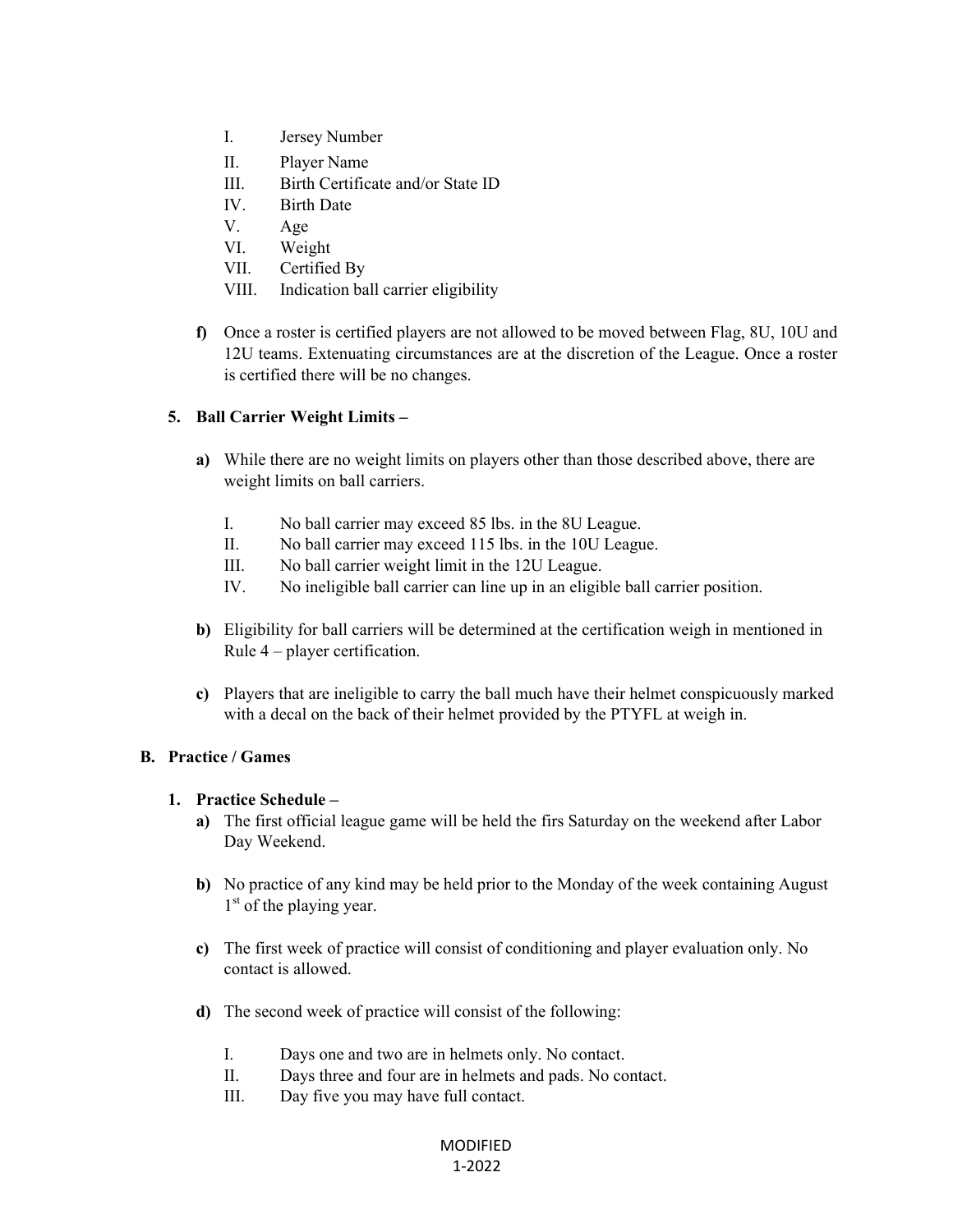- I. Jersey Number
- II. Player Name
- III. Birth Certificate and/or State ID
- IV. Birth Date
- V. Age
- VI. Weight
- VII. Certified By
- VIII. Indication ball carrier eligibility
- **f)** Once a roster is certified players are not allowed to be moved between Flag, 8U, 10U and 12U teams. Extenuating circumstances are at the discretion of the League. Once a roster is certified there will be no changes.

### **5. Ball Carrier Weight Limits –**

- **a)** While there are no weight limits on players other than those described above, there are weight limits on ball carriers.
	- I. No ball carrier may exceed 85 lbs. in the 8U League.
	- II. No ball carrier may exceed 115 lbs. in the 10U League.
	- III. No ball carrier weight limit in the 12U League.
	- IV. No ineligible ball carrier can line up in an eligible ball carrier position.
- **b)** Eligibility for ball carriers will be determined at the certification weigh in mentioned in Rule 4 – player certification.
- **c)** Players that are ineligible to carry the ball much have their helmet conspicuously marked with a decal on the back of their helmet provided by the PTYFL at weigh in.

#### **B. Practice / Games**

#### **1. Practice Schedule –**

- **a)** The first official league game will be held the firs Saturday on the weekend after Labor Day Weekend.
- **b)** No practice of any kind may be held prior to the Monday of the week containing August 1<sup>st</sup> of the playing year.
- **c)** The first week of practice will consist of conditioning and player evaluation only. No contact is allowed.
- **d)** The second week of practice will consist of the following:
	- I. Days one and two are in helmets only. No contact.
	- II. Days three and four are in helmets and pads. No contact.
	- III. Day five you may have full contact.

### MODIFIED 1‐2022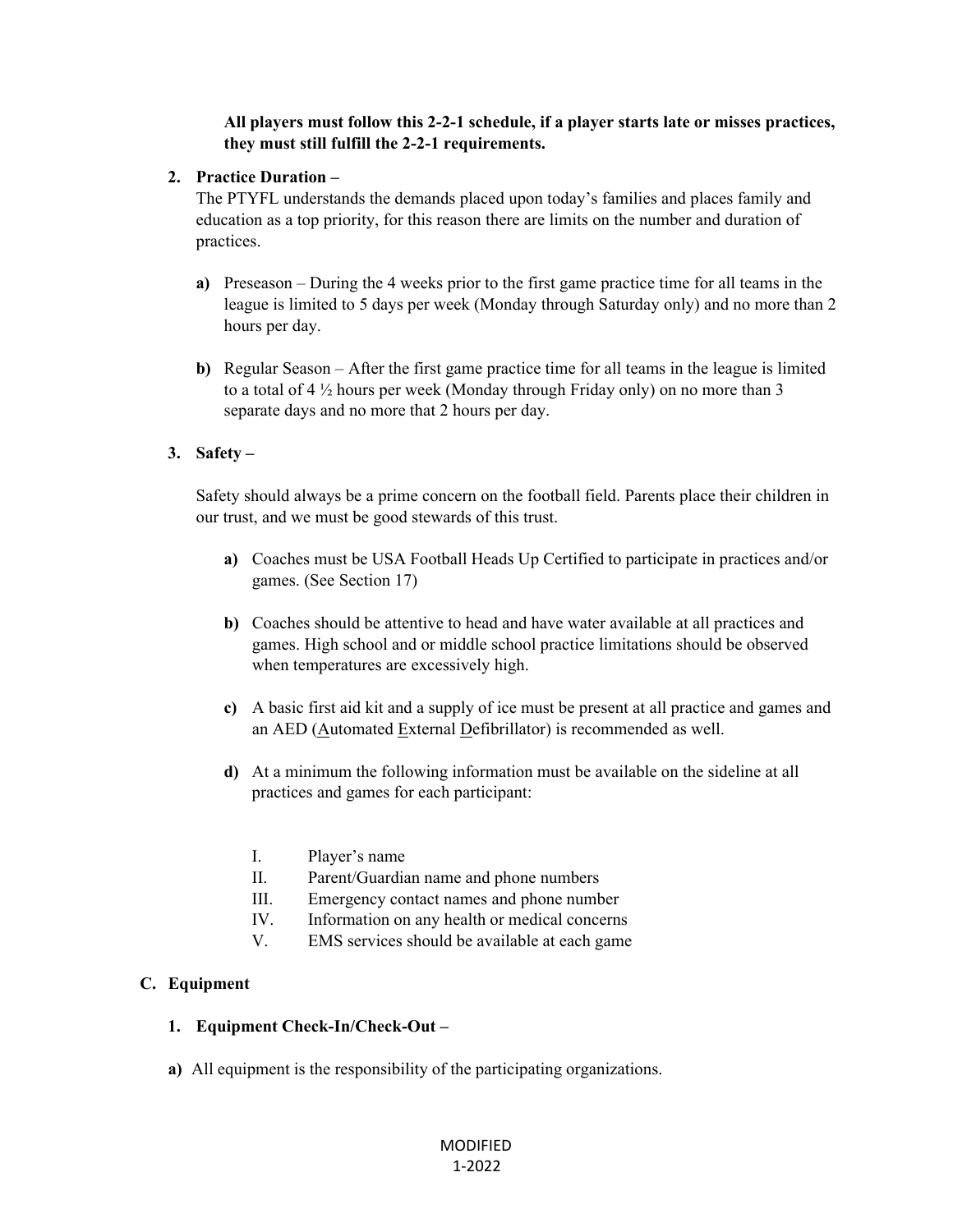### **All players must follow this 2-2-1 schedule, if a player starts late or misses practices, they must still fulfill the 2-2-1 requirements.**

#### **2. Practice Duration –**

The PTYFL understands the demands placed upon today's families and places family and education as a top priority, for this reason there are limits on the number and duration of practices.

- **a)** Preseason During the 4 weeks prior to the first game practice time for all teams in the league is limited to 5 days per week (Monday through Saturday only) and no more than 2 hours per day.
- **b)** Regular Season After the first game practice time for all teams in the league is limited to a total of 4 ½ hours per week (Monday through Friday only) on no more than 3 separate days and no more that 2 hours per day.

## **3. Safety –**

Safety should always be a prime concern on the football field. Parents place their children in our trust, and we must be good stewards of this trust.

- **a)** Coaches must be USA Football Heads Up Certified to participate in practices and/or games. (See Section 17)
- **b)** Coaches should be attentive to head and have water available at all practices and games. High school and or middle school practice limitations should be observed when temperatures are excessively high.
- **c)** A basic first aid kit and a supply of ice must be present at all practice and games and an AED (Automated External Defibrillator) is recommended as well.
- **d)** At a minimum the following information must be available on the sideline at all practices and games for each participant:
	- I. Player's name
	- II. Parent/Guardian name and phone numbers
	- III. Emergency contact names and phone number
	- IV. Information on any health or medical concerns
	- V. EMS services should be available at each game

## **C. Equipment**

#### **1. Equipment Check-In/Check-Out –**

**a)** All equipment is the responsibility of the participating organizations.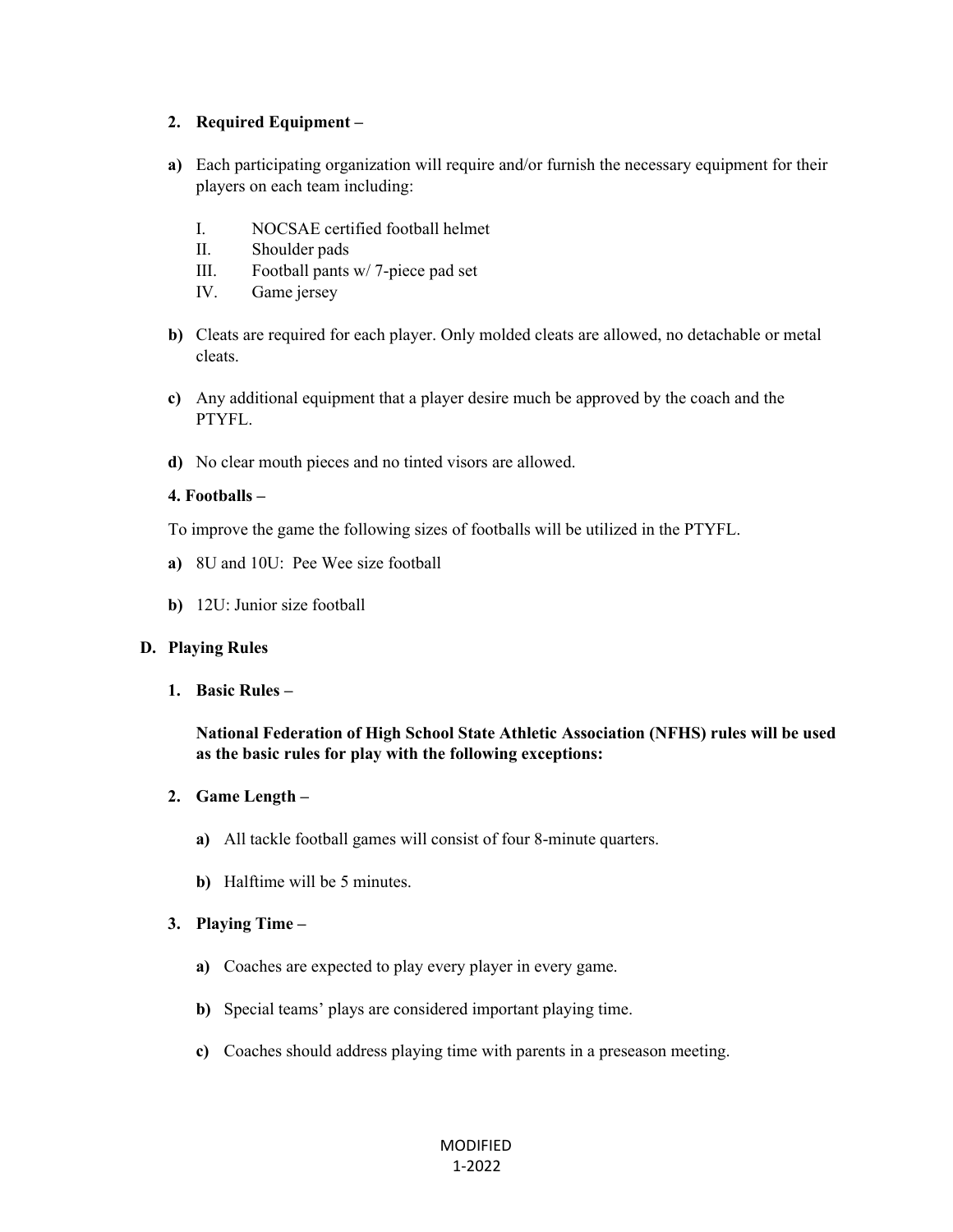#### **2. Required Equipment –**

- **a)** Each participating organization will require and/or furnish the necessary equipment for their players on each team including:
	- I. NOCSAE certified football helmet
	- II. Shoulder pads
	- III. Football pants w/ 7-piece pad set
	- IV. Game jersey
- **b)** Cleats are required for each player. Only molded cleats are allowed, no detachable or metal cleats.
- **c)** Any additional equipment that a player desire much be approved by the coach and the PTYFL.
- **d)** No clear mouth pieces and no tinted visors are allowed.

### **4. Footballs –**

To improve the game the following sizes of footballs will be utilized in the PTYFL.

- **a)** 8U and 10U: Pee Wee size football
- **b)** 12U: Junior size football

#### **D. Playing Rules**

**1. Basic Rules –** 

**National Federation of High School State Athletic Association (NFHS) rules will be used as the basic rules for play with the following exceptions:** 

- **2. Game Length** 
	- **a)** All tackle football games will consist of four 8-minute quarters.
	- **b)** Halftime will be 5 minutes.

#### **3. Playing Time –**

- **a)** Coaches are expected to play every player in every game.
- **b)** Special teams' plays are considered important playing time.
- **c)** Coaches should address playing time with parents in a preseason meeting.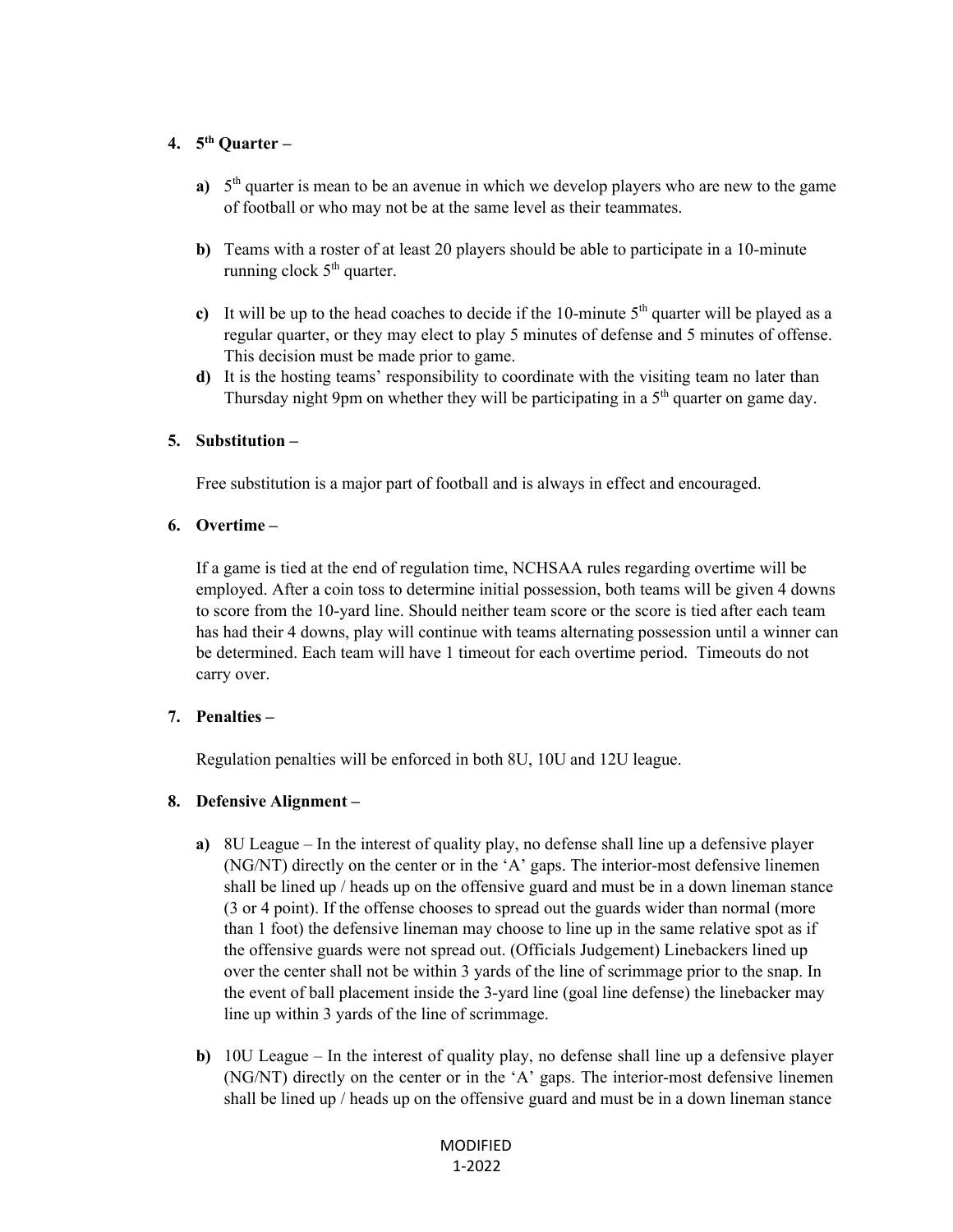### **4. 5th Quarter –**

- **a)** 5<sup>th</sup> quarter is mean to be an avenue in which we develop players who are new to the game of football or who may not be at the same level as their teammates.
- **b)** Teams with a roster of at least 20 players should be able to participate in a 10-minute running clock  $5<sup>th</sup>$  quarter.
- c) It will be up to the head coaches to decide if the 10-minute  $5<sup>th</sup>$  quarter will be played as a regular quarter, or they may elect to play 5 minutes of defense and 5 minutes of offense. This decision must be made prior to game.
- **d)** It is the hosting teams' responsibility to coordinate with the visiting team no later than Thursday night 9pm on whether they will be participating in a  $5<sup>th</sup>$  quarter on game day.

#### **5. Substitution –**

Free substitution is a major part of football and is always in effect and encouraged.

#### **6. Overtime –**

If a game is tied at the end of regulation time, NCHSAA rules regarding overtime will be employed. After a coin toss to determine initial possession, both teams will be given 4 downs to score from the 10-yard line. Should neither team score or the score is tied after each team has had their 4 downs, play will continue with teams alternating possession until a winner can be determined. Each team will have 1 timeout for each overtime period. Timeouts do not carry over.

#### **7. Penalties –**

Regulation penalties will be enforced in both 8U, 10U and 12U league.

## **8. Defensive Alignment –**

- **a)** 8U League In the interest of quality play, no defense shall line up a defensive player (NG/NT) directly on the center or in the 'A' gaps. The interior-most defensive linemen shall be lined up / heads up on the offensive guard and must be in a down lineman stance (3 or 4 point). If the offense chooses to spread out the guards wider than normal (more than 1 foot) the defensive lineman may choose to line up in the same relative spot as if the offensive guards were not spread out. (Officials Judgement) Linebackers lined up over the center shall not be within 3 yards of the line of scrimmage prior to the snap. In the event of ball placement inside the 3-yard line (goal line defense) the linebacker may line up within 3 yards of the line of scrimmage.
- **b)** 10U League In the interest of quality play, no defense shall line up a defensive player (NG/NT) directly on the center or in the 'A' gaps. The interior-most defensive linemen shall be lined up / heads up on the offensive guard and must be in a down lineman stance

### MODIFIED 1‐2022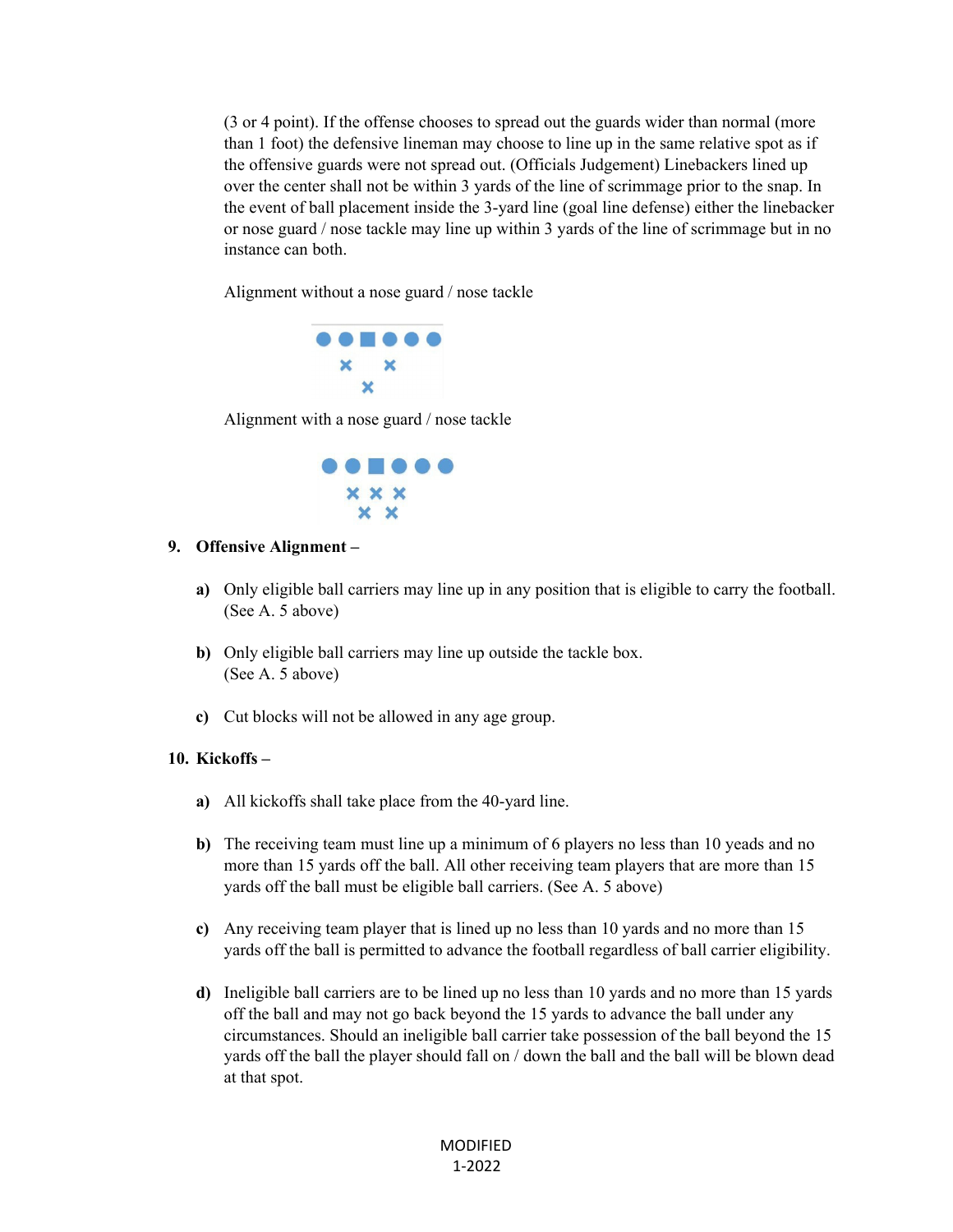(3 or 4 point). If the offense chooses to spread out the guards wider than normal (more than 1 foot) the defensive lineman may choose to line up in the same relative spot as if the offensive guards were not spread out. (Officials Judgement) Linebackers lined up over the center shall not be within 3 yards of the line of scrimmage prior to the snap. In the event of ball placement inside the 3-yard line (goal line defense) either the linebacker or nose guard / nose tackle may line up within 3 yards of the line of scrimmage but in no instance can both.

Alignment without a nose guard / nose tackle



Alignment with a nose guard / nose tackle



#### **9. Offensive Alignment –**

- **a)** Only eligible ball carriers may line up in any position that is eligible to carry the football. (See A. 5 above)
- **b)** Only eligible ball carriers may line up outside the tackle box. (See A. 5 above)
- **c)** Cut blocks will not be allowed in any age group.

#### **10. Kickoffs –**

- **a)** All kickoffs shall take place from the 40-yard line.
- **b**) The receiving team must line up a minimum of 6 players no less than 10 yeads and no more than 15 yards off the ball. All other receiving team players that are more than 15 yards off the ball must be eligible ball carriers. (See A. 5 above)
- **c)** Any receiving team player that is lined up no less than 10 yards and no more than 15 yards off the ball is permitted to advance the football regardless of ball carrier eligibility.
- **d)** Ineligible ball carriers are to be lined up no less than 10 yards and no more than 15 yards off the ball and may not go back beyond the 15 yards to advance the ball under any circumstances. Should an ineligible ball carrier take possession of the ball beyond the 15 yards off the ball the player should fall on / down the ball and the ball will be blown dead at that spot.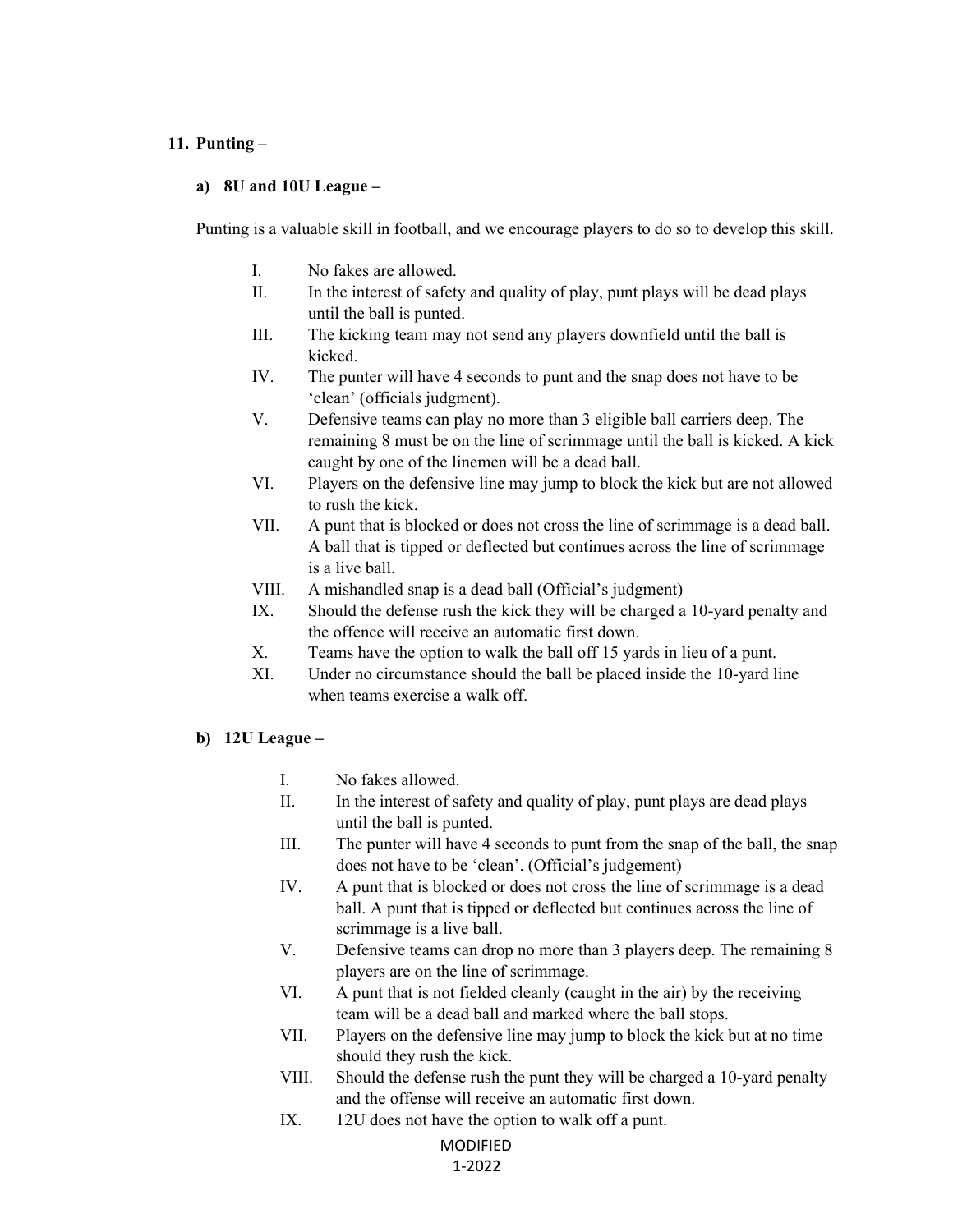#### **11. Punting –**

#### **a) 8U and 10U League –**

Punting is a valuable skill in football, and we encourage players to do so to develop this skill.

- I. No fakes are allowed.
- II. In the interest of safety and quality of play, punt plays will be dead plays until the ball is punted.
- III. The kicking team may not send any players downfield until the ball is kicked.
- IV. The punter will have 4 seconds to punt and the snap does not have to be 'clean' (officials judgment).
- V. Defensive teams can play no more than 3 eligible ball carriers deep. The remaining 8 must be on the line of scrimmage until the ball is kicked. A kick caught by one of the linemen will be a dead ball.
- VI. Players on the defensive line may jump to block the kick but are not allowed to rush the kick.
- VII. A punt that is blocked or does not cross the line of scrimmage is a dead ball. A ball that is tipped or deflected but continues across the line of scrimmage is a live ball.
- VIII. A mishandled snap is a dead ball (Official's judgment)
- IX. Should the defense rush the kick they will be charged a 10-yard penalty and the offence will receive an automatic first down.
- X. Teams have the option to walk the ball off 15 yards in lieu of a punt.
- XI. Under no circumstance should the ball be placed inside the 10-yard line when teams exercise a walk off.
- **b) 12U League** 
	- I. No fakes allowed.
	- II. In the interest of safety and quality of play, punt plays are dead plays until the ball is punted.
	- III. The punter will have 4 seconds to punt from the snap of the ball, the snap does not have to be 'clean'. (Official's judgement)
	- IV. A punt that is blocked or does not cross the line of scrimmage is a dead ball. A punt that is tipped or deflected but continues across the line of scrimmage is a live ball.
	- V. Defensive teams can drop no more than 3 players deep. The remaining 8 players are on the line of scrimmage.
	- VI. A punt that is not fielded cleanly (caught in the air) by the receiving team will be a dead ball and marked where the ball stops.
	- VII. Players on the defensive line may jump to block the kick but at no time should they rush the kick.
	- VIII. Should the defense rush the punt they will be charged a 10-yard penalty and the offense will receive an automatic first down.
	- IX. 12U does not have the option to walk off a punt.

#### MODIFIED 1‐2022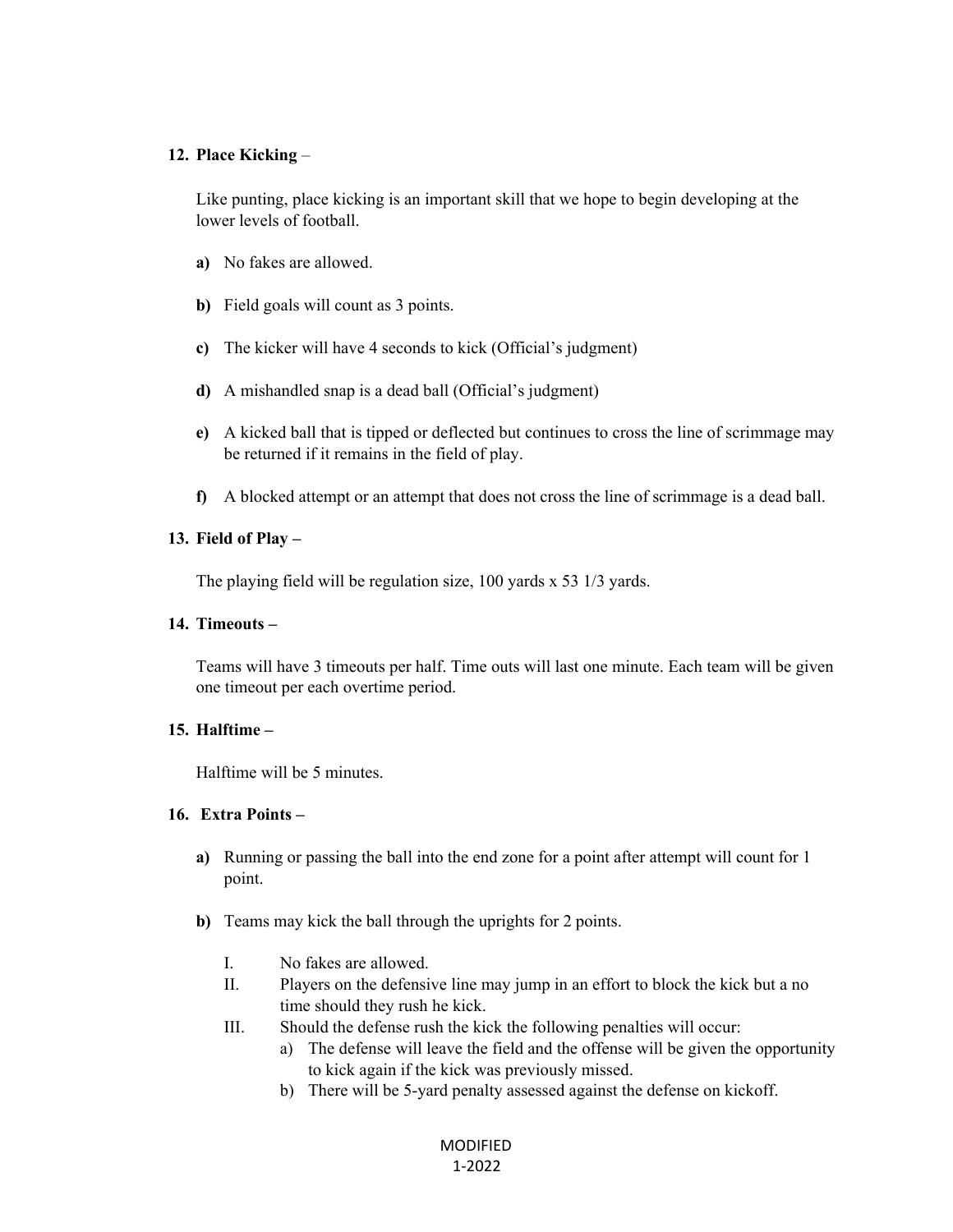#### **12. Place Kicking** –

Like punting, place kicking is an important skill that we hope to begin developing at the lower levels of football.

- **a)** No fakes are allowed.
- **b)** Field goals will count as 3 points.
- **c)** The kicker will have 4 seconds to kick (Official's judgment)
- **d)** A mishandled snap is a dead ball (Official's judgment)
- **e)** A kicked ball that is tipped or deflected but continues to cross the line of scrimmage may be returned if it remains in the field of play.
- **f)** A blocked attempt or an attempt that does not cross the line of scrimmage is a dead ball.

### **13. Field of Play –**

The playing field will be regulation size, 100 yards x 53 1/3 yards.

### **14. Timeouts –**

Teams will have 3 timeouts per half. Time outs will last one minute. Each team will be given one timeout per each overtime period.

#### **15. Halftime –**

Halftime will be 5 minutes.

#### **16. Extra Points –**

- **a)** Running or passing the ball into the end zone for a point after attempt will count for 1 point.
- **b)** Teams may kick the ball through the uprights for 2 points.
	- I. No fakes are allowed.
	- II. Players on the defensive line may jump in an effort to block the kick but a no time should they rush he kick.
	- III. Should the defense rush the kick the following penalties will occur:
		- a) The defense will leave the field and the offense will be given the opportunity to kick again if the kick was previously missed.
		- b) There will be 5-yard penalty assessed against the defense on kickoff.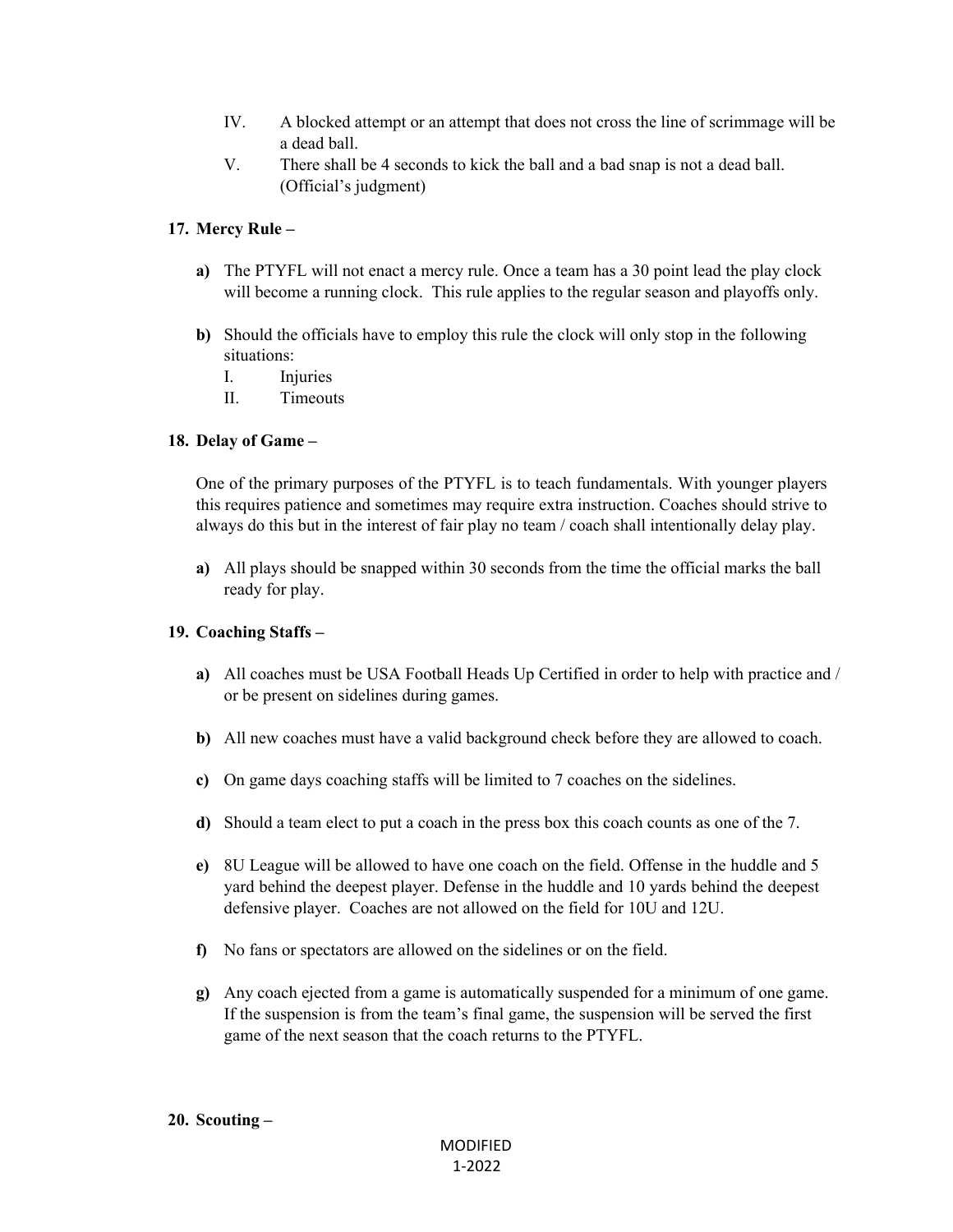- IV. A blocked attempt or an attempt that does not cross the line of scrimmage will be a dead ball.
- V. There shall be 4 seconds to kick the ball and a bad snap is not a dead ball. (Official's judgment)

### **17. Mercy Rule –**

- **a)** The PTYFL will not enact a mercy rule. Once a team has a 30 point lead the play clock will become a running clock. This rule applies to the regular season and playoffs only.
- **b)** Should the officials have to employ this rule the clock will only stop in the following situations:
	- I. Injuries
	- II. Timeouts

### **18. Delay of Game –**

One of the primary purposes of the PTYFL is to teach fundamentals. With younger players this requires patience and sometimes may require extra instruction. Coaches should strive to always do this but in the interest of fair play no team / coach shall intentionally delay play.

**a)** All plays should be snapped within 30 seconds from the time the official marks the ball ready for play.

#### **19. Coaching Staffs –**

- **a)** All coaches must be USA Football Heads Up Certified in order to help with practice and / or be present on sidelines during games.
- **b)** All new coaches must have a valid background check before they are allowed to coach.
- **c)** On game days coaching staffs will be limited to 7 coaches on the sidelines.
- **d)** Should a team elect to put a coach in the press box this coach counts as one of the 7.
- **e)** 8U League will be allowed to have one coach on the field. Offense in the huddle and 5 yard behind the deepest player. Defense in the huddle and 10 yards behind the deepest defensive player. Coaches are not allowed on the field for 10U and 12U.
- **f)** No fans or spectators are allowed on the sidelines or on the field.
- **g)** Any coach ejected from a game is automatically suspended for a minimum of one game. If the suspension is from the team's final game, the suspension will be served the first game of the next season that the coach returns to the PTYFL.

#### **20. Scouting –**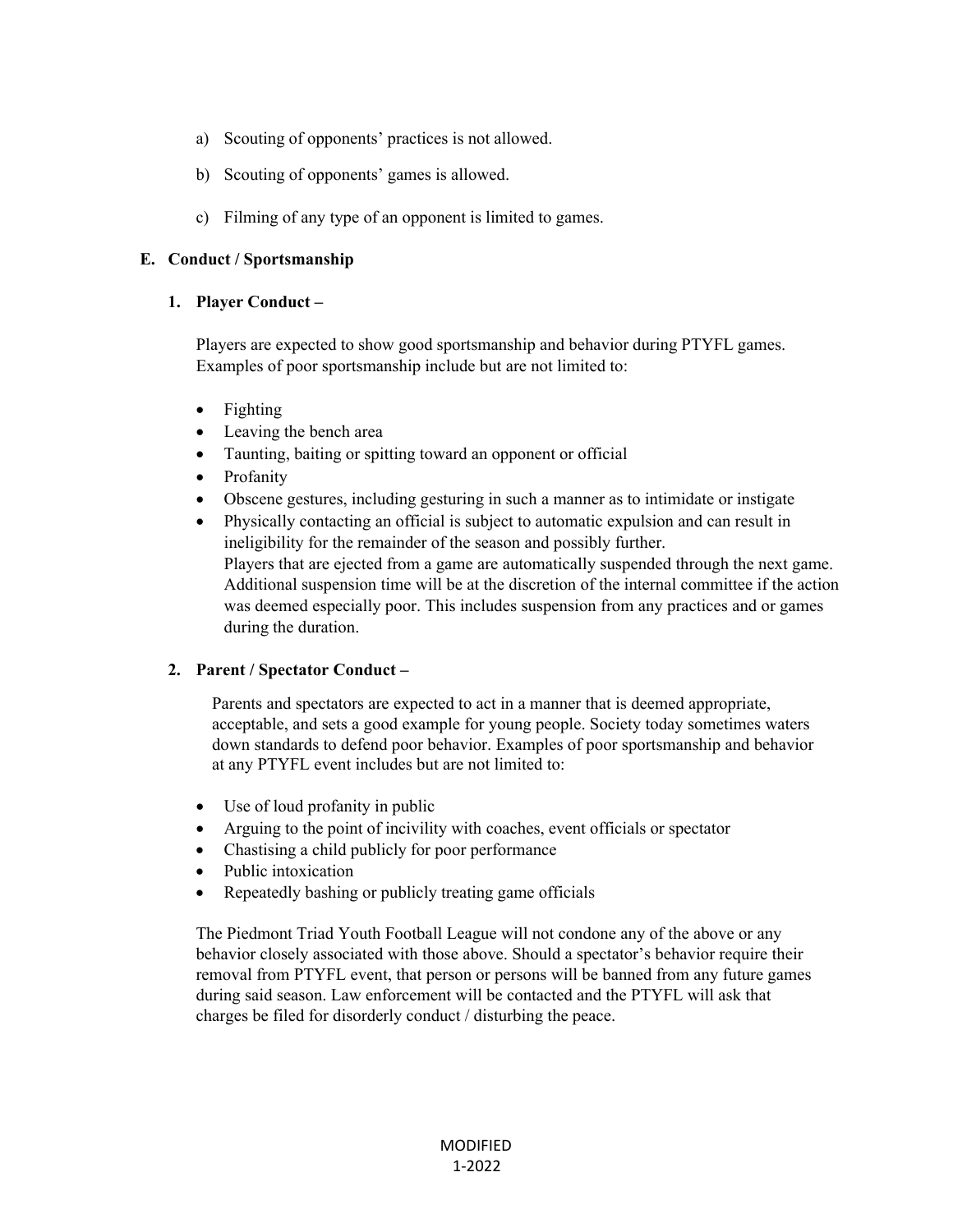- a) Scouting of opponents' practices is not allowed.
- b) Scouting of opponents' games is allowed.
- c) Filming of any type of an opponent is limited to games.

### **E. Conduct / Sportsmanship**

#### **1. Player Conduct –**

Players are expected to show good sportsmanship and behavior during PTYFL games. Examples of poor sportsmanship include but are not limited to:

- Fighting
- Leaving the bench area
- Taunting, baiting or spitting toward an opponent or official
- Profanity
- Obscene gestures, including gesturing in such a manner as to intimidate or instigate
- Physically contacting an official is subject to automatic expulsion and can result in ineligibility for the remainder of the season and possibly further. Players that are ejected from a game are automatically suspended through the next game. Additional suspension time will be at the discretion of the internal committee if the action was deemed especially poor. This includes suspension from any practices and or games during the duration.

## **2. Parent / Spectator Conduct –**

Parents and spectators are expected to act in a manner that is deemed appropriate, acceptable, and sets a good example for young people. Society today sometimes waters down standards to defend poor behavior. Examples of poor sportsmanship and behavior at any PTYFL event includes but are not limited to:

- Use of loud profanity in public
- Arguing to the point of incivility with coaches, event officials or spectator
- Chastising a child publicly for poor performance
- Public intoxication
- Repeatedly bashing or publicly treating game officials

The Piedmont Triad Youth Football League will not condone any of the above or any behavior closely associated with those above. Should a spectator's behavior require their removal from PTYFL event, that person or persons will be banned from any future games during said season. Law enforcement will be contacted and the PTYFL will ask that charges be filed for disorderly conduct / disturbing the peace.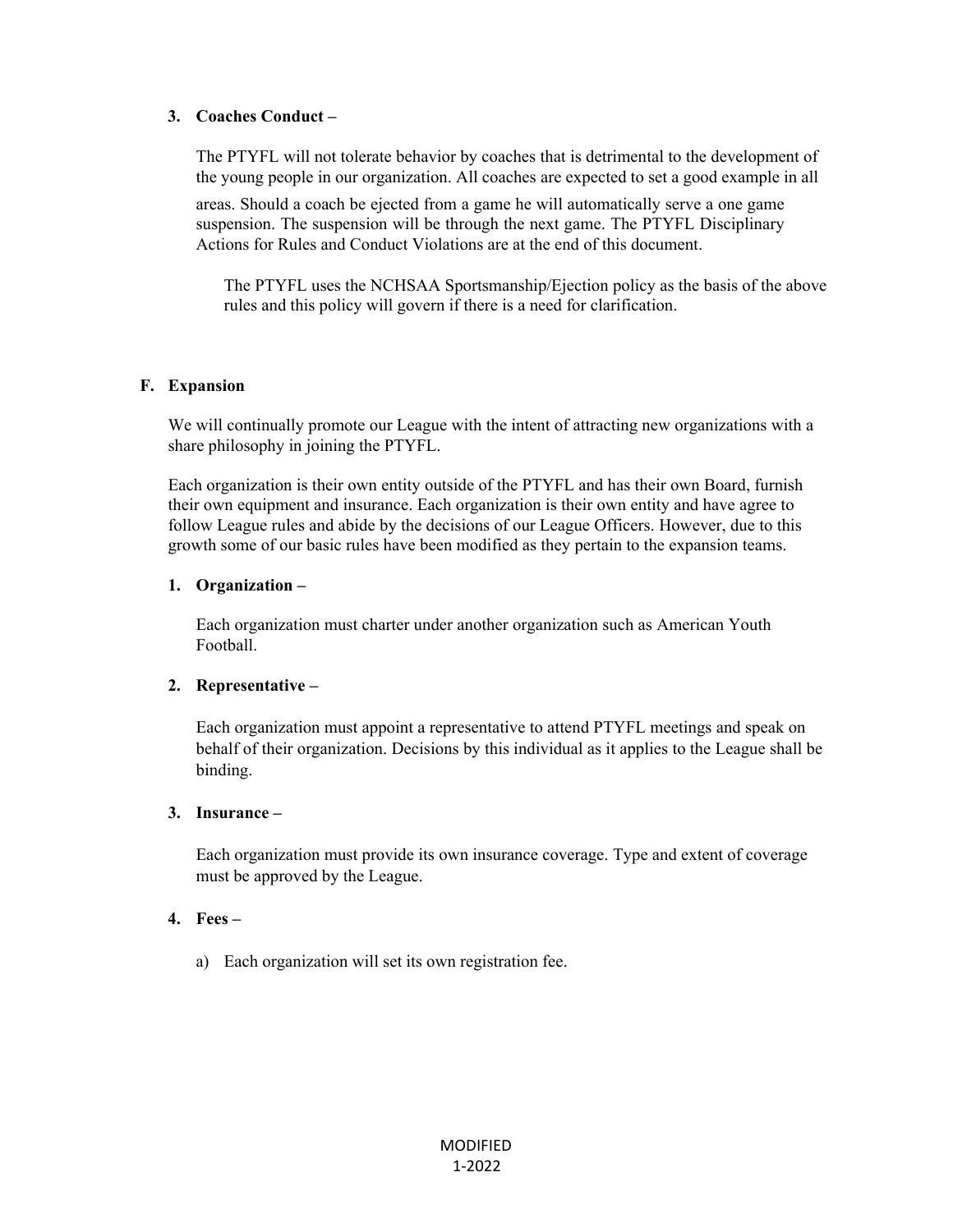#### **3. Coaches Conduct –**

The PTYFL will not tolerate behavior by coaches that is detrimental to the development of the young people in our organization. All coaches are expected to set a good example in all

areas. Should a coach be ejected from a game he will automatically serve a one game suspension. The suspension will be through the next game. The PTYFL Disciplinary Actions for Rules and Conduct Violations are at the end of this document.

The PTYFL uses the NCHSAA Sportsmanship/Ejection policy as the basis of the above rules and this policy will govern if there is a need for clarification.

#### **F. Expansion**

We will continually promote our League with the intent of attracting new organizations with a share philosophy in joining the PTYFL.

Each organization is their own entity outside of the PTYFL and has their own Board, furnish their own equipment and insurance. Each organization is their own entity and have agree to follow League rules and abide by the decisions of our League Officers. However, due to this growth some of our basic rules have been modified as they pertain to the expansion teams.

#### **1. Organization –**

Each organization must charter under another organization such as American Youth Football.

#### **2. Representative –**

Each organization must appoint a representative to attend PTYFL meetings and speak on behalf of their organization. Decisions by this individual as it applies to the League shall be binding.

#### **3. Insurance –**

Each organization must provide its own insurance coverage. Type and extent of coverage must be approved by the League.

## **4. Fees –**

a) Each organization will set its own registration fee.